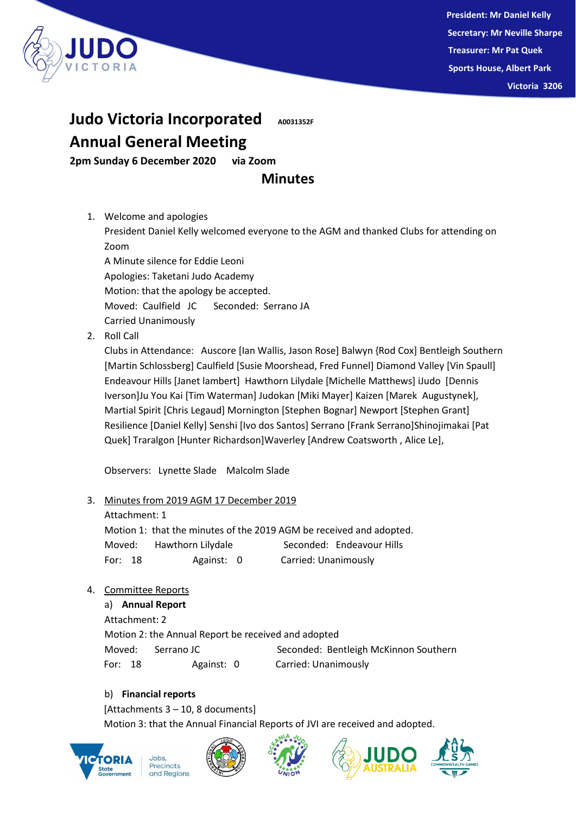

## **Judo Victoria Incorporated A0031352F**

# **Annual General Meeting**

**2pm Sunday 6 December 2020 via Zoom** 

### **Minutes**

1. Welcome and apologies

President Daniel Kelly welcomed everyone to the AGM and thanked Clubs for attending on Zoom

A Minute silence for Eddie Leoni Apologies: Taketani Judo Academy Motion: that the apology be accepted. Moved: Caulfield JC Seconded: Serrano JA Carried Unanimously

2. Roll Call

Clubs in Attendance: Auscore [Ian Wallis, Jason Rose] Balwyn {Rod Cox] Bentleigh Southern [Martin Schlossberg] Caulfield [Susie Moorshead, Fred Funnel] Diamond Valley [Vin Spaull] Endeavour Hills [Janet lambert] Hawthorn Lilydale [Michelle Matthews] iJudo [Dennis Iverson]Ju You Kai [Tim Waterman] Judokan [Miki Mayer] Kaizen [Marek Augustynek], Martial Spirit [Chris Legaud] Mornington [Stephen Bognar] Newport [Stephen Grant] Resilience [Daniel Kelly] Senshi [Ivo dos Santos] Serrano [Frank Serrano]Shinojimakai [Pat Quek] Traralgon [Hunter Richardson]Waverley [Andrew Coatsworth , Alice Le],

Observers: Lynette Slade Malcolm Slade

#### 3. Minutes from 2019 AGM 17 December 2019

Attachment: 1

Motion 1: that the minutes of the 2019 AGM be received and adopted. Moved: Hawthorn Lilydale Seconded: Endeavour Hills For: 18 Against: 0 Carried: Unanimously

4. Committee Reports

a) **Annual Report** Attachment: 2 Motion 2: the Annual Report be received and adopted Moved: Serrano JC Seconded: Bentleigh McKinnon Southern For: 18 Against: 0 Carried: Unanimously

### b) **Financial reports**

[Attachments 3 – 10, 8 documents] Motion 3: that the Annual Financial Reports of JVI are received and adopted.







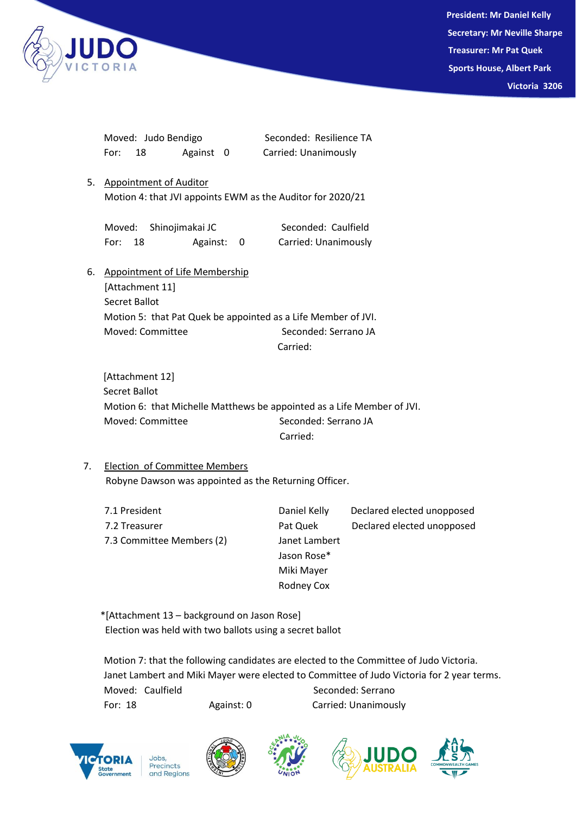

 **President: Mr Daniel Kelly Secretary: Mr Neville Sharpe Treasurer: Mr Pat Quek Sports House, Albert Park Victoria 3206**

|    | Moved: Judo Bendigo                                           | Seconded: Resilience TA                                                |  |
|----|---------------------------------------------------------------|------------------------------------------------------------------------|--|
|    | 18<br>Against 0<br>For:                                       | Carried: Unanimously                                                   |  |
| 5. | Appointment of Auditor                                        |                                                                        |  |
|    | Motion 4: that JVI appoints EWM as the Auditor for 2020/21    |                                                                        |  |
|    | Shinojimakai JC<br>Moved:                                     | Seconded: Caulfield                                                    |  |
|    | Against: 0<br>18<br>For:                                      | Carried: Unanimously                                                   |  |
| 6. | Appointment of Life Membership                                |                                                                        |  |
|    | [Attachment 11]                                               |                                                                        |  |
|    | Secret Ballot                                                 |                                                                        |  |
|    | Motion 5: that Pat Quek be appointed as a Life Member of JVI. |                                                                        |  |
|    | Moved: Committee                                              | Seconded: Serrano JA                                                   |  |
|    |                                                               | Carried:                                                               |  |
|    | [Attachment 12]                                               |                                                                        |  |
|    | Secret Ballot                                                 |                                                                        |  |
|    |                                                               | Motion 6: that Michelle Matthews be appointed as a Life Member of JVI. |  |

Moved: Committee Seconded: Serrano JA Carried:

7. Election of Committee Members Robyne Dawson was appointed as the Returning Officer.

| 7.1 President             | Daniel Kelly  | Declared elected unopposed |
|---------------------------|---------------|----------------------------|
| 7.2 Treasurer             | Pat Quek      | Declared elected unopposed |
| 7.3 Committee Members (2) | Janet Lambert |                            |
|                           | Jason Rose*   |                            |
|                           | Miki Mayer    |                            |
|                           | Rodney Cox    |                            |

 \*[Attachment 13 – background on Jason Rose] Election was held with two ballots using a secret ballot

Motion 7: that the following candidates are elected to the Committee of Judo Victoria. Janet Lambert and Miki Mayer were elected to Committee of Judo Victoria for 2 year terms. Moved: Caulfield Seconded: Serrano For: 18 Against: 0 Carried: Unanimously